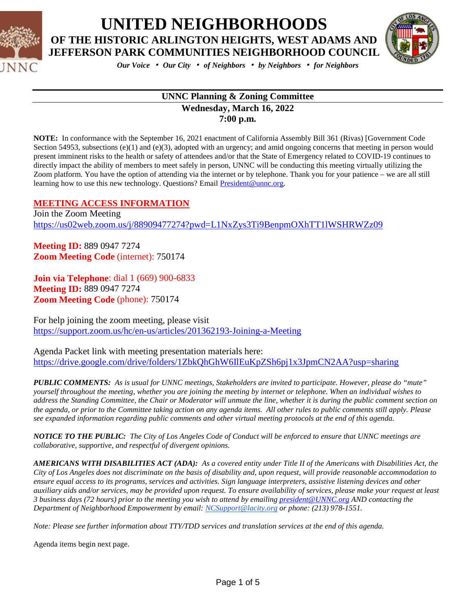



*Our Voice* • *Our City* • *of Neighbors* • *by Neighbors* • *for Neighbors*

#### **UNNC Planning & Zoning Committee Wednesday, March 16, 2022 7:00 p.m.**

**NOTE:** In conformance with the September 16, 2021 enactment of California Assembly Bill 361 (Rivas) [Government Code Section 54953, subsections (e)(1) and (e)(3), adopted with an urgency; and amid ongoing concerns that meeting in person would present imminent risks to the health or safety of attendees and/or that the State of Emergency related to COVID-19 continues to directly impact the ability of members to meet safely in person, UNNC will be conducting this meeting virtually utilizing the Zoom platform. You have the option of attending via the internet or by telephone. Thank you for your patience – we are all still learning how to use this new technology. Questions? Email [President@unnc.org.](mailto:President@unnc.org)

#### **MEETING ACCESS INFORMATION**

Join the Zoom Meeting <https://us02web.zoom.us/j/88909477274?pwd=L1NxZys3Ti9BenpmOXhTT1lWSHRWZz09>

**Meeting ID:** 889 0947 7274 **Zoom Meeting Code** (internet): 750174

**Join via Telephone**: dial 1 (669) 900-6833 **Meeting ID:** 889 0947 7274 **Zoom Meeting Code** (phone): 750174

For help joining the zoom meeting, please visit <https://support.zoom.us/hc/en-us/articles/201362193-Joining-a-Meeting>

Agenda Packet link with meeting presentation materials here: <https://drive.google.com/drive/folders/1ZbkQhGhW6IlEuKpZSh6pj1x3JpmCN2AA?usp=sharing>

*PUBLIC COMMENTS: As is usual for UNNC meetings, Stakeholders are invited to participate. However, please do "mute" yourself throughout the meeting, whether you are joining the meeting by internet or telephone. When an individual wishes to address the Standing Committee, the Chair or Moderator will unmute the line, whether it is during the public comment section on the agenda, or prior to the Committee taking action on any agenda items. All other rules to public comments still apply. Please see expanded information regarding public comments and other virtual meeting protocols at the end of this agenda.*

*NOTICE TO THE PUBLIC: The City of Los Angeles Code of Conduct will be enforced to ensure that UNNC meetings are collaborative, supportive, and respectful of divergent opinions.* 

*AMERICANS WITH DISABILITIES ACT (ADA): As a covered entity under Title II of the Americans with Disabilities Act, the City of Los Angeles does not discriminate on the basis of disability and, upon request, will provide reasonable accommodation to ensure equal access to its programs, services and activities. Sign language interpreters, assistive listening devices and other auxiliary aids and/or services, may be provided upon request. To ensure availability of services, please make your request at least 3 business days (72 hours) prior to the meeting you wish to attend by emailin[g president@UNNC.org](mailto:president@UNNC.org) AND contacting the Department of Neighborhood Empowerment by email: [NCSupport@lacity.org](mailto:NCSupport@lacity.org) or phone: (213) 978-1551.*

*Note: Please see further information about TTY/TDD services and translation services at the end of this agenda.*

Agenda items begin next page.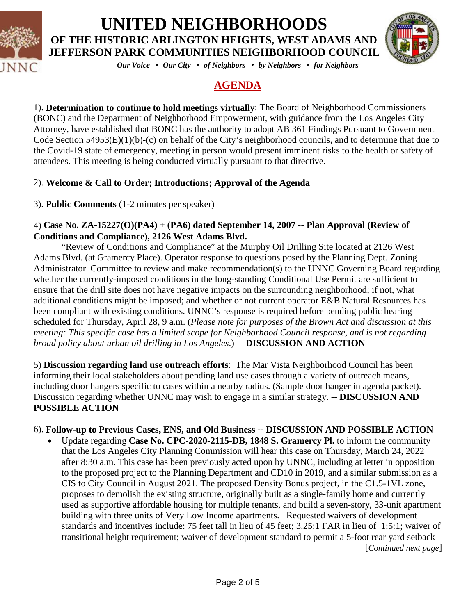



*Our Voice* • *Our City* • *of Neighbors* • *by Neighbors* • *for Neighbors*

### **AGENDA**

1). **Determination to continue to hold meetings virtually**: The Board of Neighborhood Commissioners (BONC) and the Department of Neighborhood Empowerment, with guidance from the Los Angeles City Attorney, have established that BONC has the authority to adopt AB 361 Findings Pursuant to Government Code Section 54953(E)(1)(b)-(c) on behalf of the City's neighborhood councils, and to determine that due to the Covid-19 state of emergency, meeting in person would present imminent risks to the health or safety of attendees. This meeting is being conducted virtually pursuant to that directive.

### 2). **Welcome & Call to Order; Introductions; Approval of the Agenda**

3). **Public Comments** (1-2 minutes per speaker)

#### 4) **Case No. ZA-15227(O)(PA4) + (PA6) dated September 14, 2007 -- Plan Approval (Review of Conditions and Compliance), 2126 West Adams Blvd.**

"Review of Conditions and Compliance" at the Murphy Oil Drilling Site located at 2126 West Adams Blvd. (at Gramercy Place). Operator response to questions posed by the Planning Dept. Zoning Administrator. Committee to review and make recommendation(s) to the UNNC Governing Board regarding whether the currently-imposed conditions in the long-standing Conditional Use Permit are sufficient to ensure that the drill site does not have negative impacts on the surrounding neighborhood; if not, what additional conditions might be imposed; and whether or not current operator E&B Natural Resources has been compliant with existing conditions. UNNC's response is required before pending public hearing scheduled for Thursday, April 28, 9 a.m. (*Please note for purposes of the Brown Act and discussion at this meeting: This specific case has a limited scope for Neighborhood Council response, and is not regarding broad policy about urban oil drilling in Los Angeles*.) – **DISCUSSION AND ACTION**

5) **Discussion regarding land use outreach efforts**: The Mar Vista Neighborhood Council has been informing their local stakeholders about pending land use cases through a variety of outreach means, including door hangers specific to cases within a nearby radius. (Sample door hanger in agenda packet). Discussion regarding whether UNNC may wish to engage in a similar strategy. -- **DISCUSSION AND POSSIBLE ACTION**

### 6). **Follow-up to Previous Cases, ENS, and Old Business** -- **DISCUSSION AND POSSIBLE ACTION**

• Update regarding **Case No. CPC-2020-2115-DB, 1848 S. Gramercy Pl.** to inform the community that the Los Angeles City Planning Commission will hear this case on Thursday, March 24, 2022 after 8:30 a.m. This case has been previously acted upon by UNNC, including at letter in opposition to the proposed project to the Planning Department and CD10 in 2019, and a similar submission as a CIS to City Council in August 2021. The proposed Density Bonus project, in the C1.5-1VL zone, proposes to demolish the existing structure, originally built as a single-family home and currently used as supportive affordable housing for multiple tenants, and build a seven-story, 33-unit apartment building with three units of Very Low Income apartments. Requested waivers of development standards and incentives include: 75 feet tall in lieu of 45 feet; 3.25:1 FAR in lieu of 1:5:1; waiver of transitional height requirement; waiver of development standard to permit a 5-foot rear yard setback [*Continued next page*]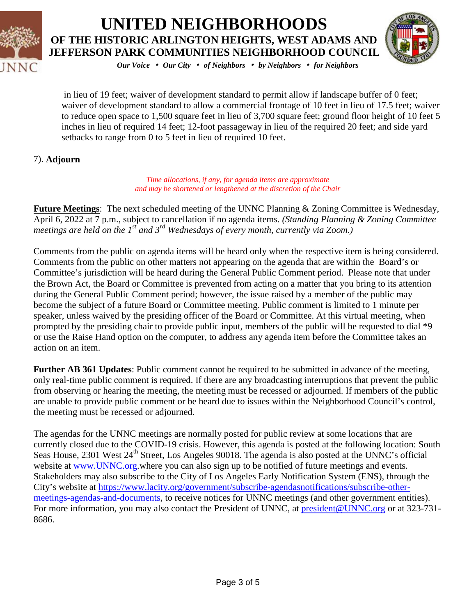



*Our Voice* • *Our City* • *of Neighbors* • *by Neighbors* • *for Neighbors*

in lieu of 19 feet; waiver of development standard to permit allow if landscape buffer of 0 feet; waiver of development standard to allow a commercial frontage of 10 feet in lieu of 17.5 feet; waiver to reduce open space to 1,500 square feet in lieu of 3,700 square feet; ground floor height of 10 feet 5 inches in lieu of required 14 feet; 12-foot passageway in lieu of the required 20 feet; and side yard setbacks to range from 0 to 5 feet in lieu of required 10 feet.

### 7). **Adjourn**

*Time allocations, if any, for agenda items are approximate and may be shortened or lengthened at the discretion of the Chair*

**Future Meetings**: The next scheduled meeting of the UNNC Planning & Zoning Committee is Wednesday, April 6, 2022 at 7 p.m., subject to cancellation if no agenda items. *(Standing Planning & Zoning Committee meetings are held on the 1<sup>st</sup> and 3<sup>rd</sup> Wednesdays of every month, currently via Zoom.*)

Comments from the public on agenda items will be heard only when the respective item is being considered. Comments from the public on other matters not appearing on the agenda that are within the Board's or Committee's jurisdiction will be heard during the General Public Comment period. Please note that under the Brown Act, the Board or Committee is prevented from acting on a matter that you bring to its attention during the General Public Comment period; however, the issue raised by a member of the public may become the subject of a future Board or Committee meeting. Public comment is limited to 1 minute per speaker, unless waived by the presiding officer of the Board or Committee. At this virtual meeting, when prompted by the presiding chair to provide public input, members of the public will be requested to dial \*9 or use the Raise Hand option on the computer, to address any agenda item before the Committee takes an action on an item.

**Further AB 361 Updates**: Public comment cannot be required to be submitted in advance of the meeting, only real-time public comment is required. If there are any broadcasting interruptions that prevent the public from observing or hearing the meeting, the meeting must be recessed or adjourned. If members of the public are unable to provide public comment or be heard due to issues within the Neighborhood Council's control, the meeting must be recessed or adjourned.

The agendas for the UNNC meetings are normally posted for public review at some locations that are currently closed due to the COVID-19 crisis. However, this agenda is posted at the following location: South Seas House, 2301 West 24<sup>th</sup> Street, Los Angeles 90018. The agenda is also posted at the UNNC's official website at [www.UNNC.org.](http://www.unnc.org/)where you can also sign up to be notified of future meetings and events. Stakeholders may also subscribe to the City of Los Angeles Early Notification System (ENS), through the City's website at [https://www.lacity.org/government/subscribe-agendasnotifications/subscribe-other](https://www.lacity.org/government/subscribe-agendasnotifications/subscribe-other-meetings-agendas-and-documents)[meetings-agendas-and-documents,](https://www.lacity.org/government/subscribe-agendasnotifications/subscribe-other-meetings-agendas-and-documents) to receive notices for UNNC meetings (and other government entities). For more information, you may also contact the President of UNNC, at [president@UNNC.org](mailto:president@UNNC.org) or at 323-731-8686.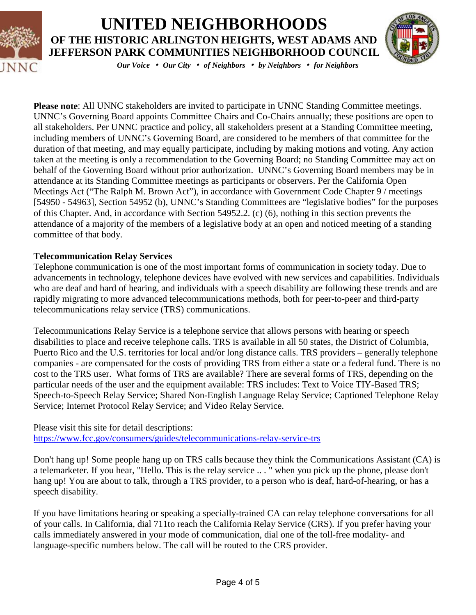



*Our Voice* • *Our City* • *of Neighbors* • *by Neighbors* • *for Neighbors*

**Please note**: All UNNC stakeholders are invited to participate in UNNC Standing Committee meetings. UNNC's Governing Board appoints Committee Chairs and Co-Chairs annually; these positions are open to all stakeholders. Per UNNC practice and policy, all stakeholders present at a Standing Committee meeting, including members of UNNC's Governing Board, are considered to be members of that committee for the duration of that meeting, and may equally participate, including by making motions and voting. Any action taken at the meeting is only a recommendation to the Governing Board; no Standing Committee may act on behalf of the Governing Board without prior authorization. UNNC's Governing Board members may be in attendance at its Standing Committee meetings as participants or observers. Per the California Open Meetings Act ("The Ralph M. Brown Act"), in accordance with Government Code Chapter 9 / meetings [54950 - 54963], Section 54952 (b), UNNC's Standing Committees are "legislative bodies" for the purposes of this Chapter. And, in accordance with Section 54952.2. (c) (6), nothing in this section prevents the attendance of a majority of the members of a legislative body at an open and noticed meeting of a standing committee of that body.

#### **Telecommunication Relay Services**

Telephone communication is one of the most important forms of communication in society today. Due to advancements in technology, telephone devices have evolved with new services and capabilities. Individuals who are deaf and hard of hearing, and individuals with a speech disability are following these trends and are rapidly migrating to more advanced telecommunications methods, both for peer-to-peer and third-party telecommunications relay service (TRS) communications.

Telecommunications Relay Service is a telephone service that allows persons with hearing or speech disabilities to place and receive telephone calls. TRS is available in all 50 states, the District of Columbia, Puerto Rico and the U.S. territories for local and/or long distance calls. TRS providers – generally telephone companies - are compensated for the costs of providing TRS from either a state or a federal fund. There is no cost to the TRS user. What forms of TRS are available? There are several forms of TRS, depending on the particular needs of the user and the equipment available: TRS includes: Text to Voice TIY-Based TRS; Speech-to-Speech Relay Service; Shared Non-English Language Relay Service; Captioned Telephone Relay Service; Internet Protocol Relay Service; and Video Relay Service.

Please visit this site for detail descriptions: <https://www.fcc.gov/consumers/guides/telecommunications-relay-service-trs>

Don't hang up! Some people hang up on TRS calls because they think the Communications Assistant (CA) is a telemarketer. If you hear, "Hello. This is the relay service .. . " when you pick up the phone, please don't hang up! You are about to talk, through a TRS provider, to a person who is deaf, hard-of-hearing, or has a speech disability.

If you have limitations hearing or speaking a specially-trained CA can relay telephone conversations for all of your calls. In California, dial 711to reach the California Relay Service (CRS). If you prefer having your calls immediately answered in your mode of communication, dial one of the toll-free modality- and language-specific numbers below. The call will be routed to the CRS provider.